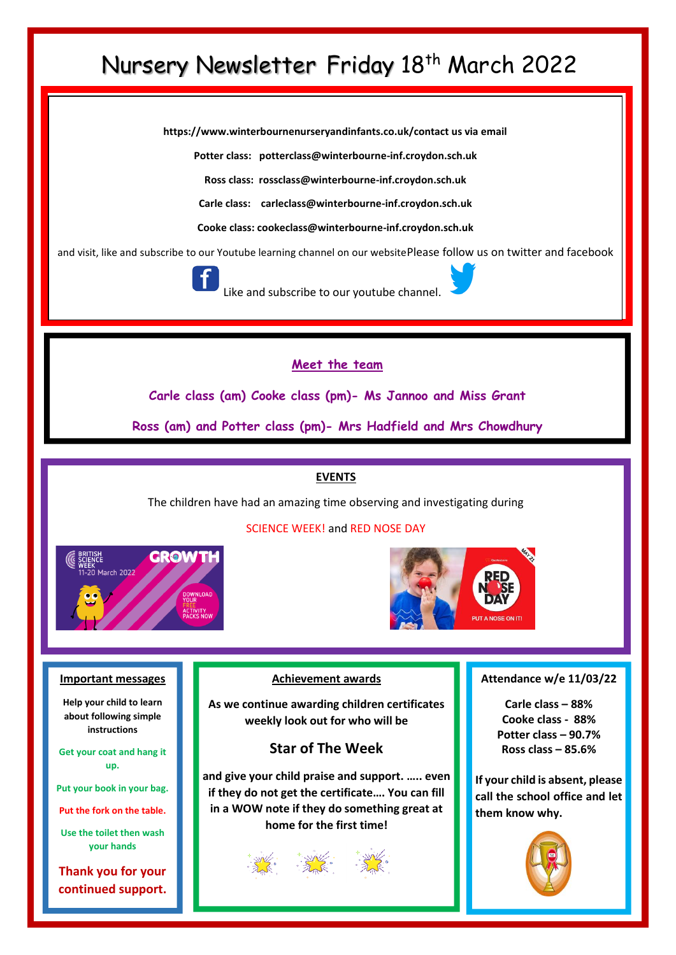## Nursery Newsletter Friday 18<sup>th</sup> March 2022

**https://www.winterbournenurseryandinfants.co.uk/contact us via email**

**Potter class: potterclass@winterbourne-inf.croydon.sch.uk**

**Ross class: rossclass@winterbourne-inf.croydon.sch.uk**

**Carle class: [carleclass@winterbourne-inf.croydon.sch.uk](mailto:carleclass@winterbourne-inf.croydon.sch.uk)**

**Cooke class: cookeclass@winterbourne-inf.croydon.sch.uk**

and visit, like and subscribe to our Youtube learning channel on our websitePlease follow us on twitter and facebook



Like and subscribe to our youtube channe

### **Meet the team**

**Carle class (am) Cooke class (pm)- Ms Jannoo and Miss Grant**

**Ross (am) and Potter class (pm)- Mrs Hadfield and Mrs Chowdhury**

#### **EVENTS**

The children have had an amazing time observing and investigating during



#### SCIENCE WEEK! and RED NOSE DAY



#### **Important messages**

**Help your child to learn about following simple instructions**

**Get your coat and hang it up.**

**Put your book in your bag.**

**Put the fork on the table.**

**Use the toilet then wash your hands**

**Thank you for your continued support.**

#### **Achievement awards**

**As we continue awarding children certificates weekly look out for who will be**

## **Star of The Week**

**and give your child praise and support. ….. even if they do not get the certificate…. You can fill in a WOW note if they do something great at home for the first time!**

#### **Attendance w/e 11/03/22**

**Carle class – 88% Cooke class - 88% Potter class – 90.7% Ross class – 85.6%**

**If your child is absent, please call the school office and let them know why.**